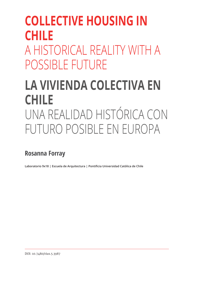# **COLLECTIVE HOUSING IN CHILE** A HISTORICAL REALITY WITH A POSSIBLE FUTURE

## **LA VIVIENDA COLECTIVA EN CHILE** UNA REALIDAD HISTÓRICA CON FUTURO POSIBLE EN EUROPA

## **Rosanna Forray**

**Laboratorio 9x18 | Escuela de Arquitectura | Pontificia Universidad Católica de Chile**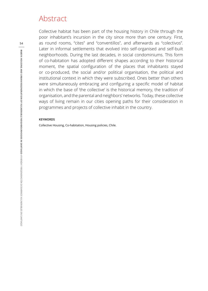### Abstract

Collective habitat has been part of the housing history in Chile through the poor inhabitant's incursion in the city since more than one century. First, as round rooms, "cites" and "conventillos", and afterwards as "colectivos". Later in informal settlements that evolved into self-organised and self-built neighborhoods. During the last decades, in social condominiums. This form of co-habitation has adopted different shapes according to their historical moment, the spatial configuration of the places that inhabitants stayed or co-produced, the social and/or political organisation, the political and institutional context in which they were subscribed. Ones better than others were simultaneously embracing and configuring a specific model of habitat in which the base of 'the collective' is the historical memory, the tradition of organisation, and the parental and neighbors' networks. Today, these collective ways of living remain in our cities opening paths for their consideration in programmes and projects of collective inhabit in the country.

#### **KEYWORDS**

Collective Housing, Co-habitation, Housing policies, Chile.

**54**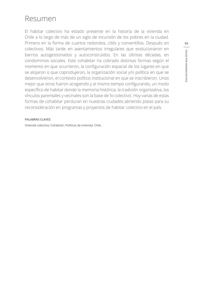## Resumen

El habitar colectivo ha estado presente en la historia de la vivienda en Chile a lo largo de más de un siglo de incursión de los pobres en la ciudad. Primero en la forma de cuartos redondos, cités y conventillos. Después en colectivos. Más tarde en asentamientos irregulares que evolucionaron en barrios autogestionados y autoconstruidos. En las últimas décadas, en condominios sociales. Este cohabitar ha cobrado distintas formas según el momento en que ocurrieron, la configuración espacial de los lugares en que se alojaron o que coprodujeron, la organización social y/o política en que se desenvolvieron, el contexto político institucional en que se inscribieron. Unos mejor que otros fueron acogiendo y al mismo tiempo configurando, un modo específico de habitar donde la memoria histórica, la tradición organizativa, los vínculos parentales y vecinales son la base de 'lo colectivo'. Hoy varias de estas formas de cohabitar perduran en nuestras ciudades abriendo pistas para su reconsideración en programas y proyectos de habitar colectivo en el país.

#### **PALABRAS CLAVES**

Vivienda colectiva; Cohabitar; Políticas de vivienda; Chile.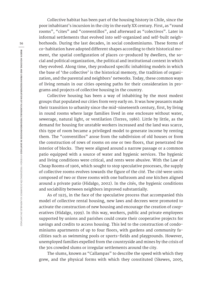Collective habitat has been part of the housing history in Chile, since the poor inhabitant's incursion in the city in the early XX century. First, as "round rooms", "cites" and "conventillos", and afterward as "colectivos". Later in informal settlements that evolved into self-organized and self-built neighborhoods. During the last decades, in social condominiums. These forms of co-habitation have adopted different shapes according to their historical moment, the spatial configuration of places co-produced by dwellers, the social and political organization, the political and institutional context in which they evolved. Along time, they produced specific inhabiting models in which the base of 'the collective' is the historical memory, the tradition of organization, and the parental and neighbors' networks. Today, these common ways of living remain in our cities opening paths for their consideration in programs and projects of collective housing in the country.

Collective housing has been a way of inhabiting by the most modest groups that populated our cities from very early on. It was how peasants made their transition to urbanity since the mid-nineteenth century, first, by living in round rooms where large families lived in one enclosure without water, sewerage, natural light, or ventilation (Torres, 1986). Little by little, as the demand for housing for unstable workers increased and the land was scarce, this type of room became a privileged model to generate income by renting them. The "conventillos" arose from the subdivision of old houses or from the construction of rows of rooms on one or two floors, that penetrated the interior of blocks. They were aligned around a narrow passage or a common patio equipped with a source of water and hygienic services. The hygienic and living conditions were critical, and rents were abusive. With the Law of Cheap Rooms of 1906, which sought to stop speculative processes, the supply of collective rooms evolves towards the figure of the cité. The cité were units composed of two or three rooms with one bathroom and one kitchen aligned around a private patio (Hidalgo, 2002). In the cités, the hygienic conditions and sociability between neighbors improved substantially.

As of 1925, in the face of the speculative process that accompanied this model of collective rental housing, new laws and decrees were promoted to activate the construction of new housing and encourage the creation of cooperatives (Hidalgo, 1999). In this way, workers, public and private employees supported by unions and parishes could create their cooperative projects for savings and credits to access housing. This led to the construction of condominiums apartments of up to four floors, with gardens and community facilities such as swimming pools or sports-fields and playgrounds. However, unemployed families expelled from the countryside and mines by the crisis of the 30s crowded slums or irregular settlements around the city.

The slums, known as "Callampas" to describe the speed with which they grew, and the physical forms with which they constituted (Skewes, 2005,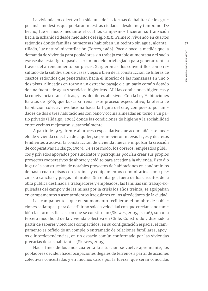La vivienda en colectivo ha sido una de las formas de habitar de los grupos más modestos que poblaron nuestras ciudades desde muy temprano. De hecho, fue el modo mediante el cual los campesinos hicieron su transición hacia la urbanidad desde mediados del siglo XIX. Primero, viviendo en cuartos redondos donde familias numerosas habitaban un recinto sin agua, alcantarillado, luz natural ni ventilación (Torres, 1986). Poco a poco, a medida que la demanda de vivienda para pobladores sin trabajo estable aumentaba y el suelo escaseaba, esta figura pasó a ser un modelo privilegiado para generar renta a través del arrendamiento por piezas. Surgieron así los conventillos como resultado de la subdivisión de casas viejas o bien de la construcción de hileras de cuartos redondos que penetraban hacia el interior de las manzanas en uno o dos pisos, alineados en torno a un estrecho pasaje o a un patio común dotado de una fuente de agua y servicios higiénicos. Allí las condiciones higiénicas y la convivencia eran críticas, y los alquileres abusivos. Con la Ley Habitaciones Baratas de 1906, que buscaba frenar este proceso especulativo, la oferta de habitación colectiva evoluciona hacia la figura del cité, compuesto por unidades de dos o tres habitaciones con baño y cocina alineadas en torno a un patio privado (Hidalgo, 2002) donde las condiciones de higiene y la sociabilidad entre vecinos mejoraron sustancialmente.

A partir de 1925, frente al proceso especulativo que acompañó este modelo de vivienda colectiva de alquiler, se promovieron nuevas leyes y decretos tendientes a activar la construcción de vivienda nueva e impulsar la creación de cooperativas (Hidalgo, 1999). De este modo, los obreros, empleados públicos y privados apoyados por sindicatos y parroquias podrían crear sus propios proyectos cooperativos de ahorro y crédito para acceder a la vivienda. Esto dio lugar a la construcción de notables proyectos de habitaciones en condominios de hasta cuatro pisos con jardines y equipamientos comunitarios como piscinas o canchas y juegos infantiles. Sin embargo, fuera de los circuitos de la obra pública destinada a trabajadores y empleados, las familias sin trabajo expulsadas del campo y de las minas por la crisis los años treinta, se agolpaban en campamentos o asentamientos irregulares en los alrededores de la ciudad.

Los campamentos, que en su momento recibieron el nombre de poblaciones callampas para describir no sólo la velocidad con que crecían sino también las formas físicas con que se constituían (Skewes, 2005, p. 106), son una tercera modalidad de la vivienda colectiva en Chile. Construido y diseñado a partir de saberes y recursos compartidos, en su configuración espacial el campamento es reflejo de un complejo entramado de relaciones familiares, apoyos e interdependencias, en un espacio común conformado por las viviendas precarias de sus habitantes (Skewes, 2005).

Hacia fines de los años cuarenta la situación se vuelve apremiante, los pobladores deciden hacer ocupaciones ilegales de terrenos a partir de acciones colectivas concertadas y en muchos casos por la fuerza, que serán conocidas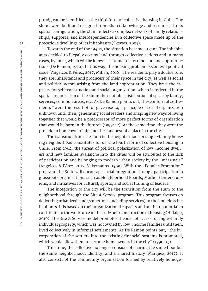p.106), can be identified as the third form of collective housing in Chile. The slums were built and designed from shared knowledge and resources. In its spatial configuration, the slum reflects a complex network of family relationships, supports, and interdependencies in a collective space made up of the precarious dwellings of its inhabitants (Skewes, 2005).

Towards the end of the 1940s, the situation became urgent. The inhabitants decided to illegally occupy land through collective actions and in many cases, by force, which will be known as "tomas de terreno" or land appropriations (De Ramón, 1990). In this way, the housing problem becomes a political issue (Angelcos & Pérez, 2017; Millán, 2016). The residents play a double role: they are inhabitants and producers of their space in the city, as well as social and political actors arising from the land appropriation. They have the capacity for self-construction and social organization, which is reflected in the spatial organization of the slum: the equitable distribution of space by family, services, common areas, etc. As De Ramón points out, these informal settlements "were the result of, or gave rise to, a principle of social organization unknown until then, generating social leaders and shaping new ways of living together that would be a predecessor of more perfect forms of organization that would be born in the future" (1999: 12). At the same time, they were the prelude to homeownership and the conquest of a place in the city.

The transition from the slum to the neighborhood or single-family housing neighborhood constitutes for us, the fourth form of collective housing in Chile. From 1964, the threat of political polarization of low-income dwellers and new families avalanche into the cities will be attributed to the lack of participation and belonging to modern urban society by the "marginals" (Angelcos & Pérez, 2017; Vekemanns, 1969). With the "Popular Promotion" program, the State will encourage social integration through participation in grassroots organizations such as Neighborhood Boards, Mother Centers, unions, and initiatives for cultural, sports, and social training of leaders.

The integration to the city will be the transition from the slum to the neighborhood through the Site & Service program. This program focuses on delivering urbanized land (sometimes including services) to the homeless inhabitants. It is based on their organizational capacity and on their potential to contribute to the workforce in the self-help construction of housing (Hidalgo, 2010). The Site & Service model promotes the idea of access to single-family individual property, which was not owned by low-income families until then, lived collectively in informal settlements. As De Ramón points out, "the incorporation of the settlers into the existing financial systems is promoted, which would allow them to become homeowners in the city" (1990: 13).

This time, the collective no longer consists of sharing the same floor but the same neighborhood, identity, and a shared history (Márquez, 2017). It also consists of the community organization formed by relatively homoge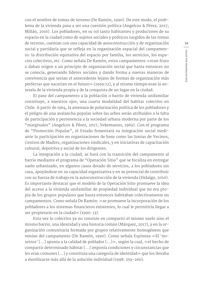con el nombre de tomas de terreno (De Ramón, 1990). De este modo, el problema de la vivienda pasa a ser una cuestión política (Angelcos & Pérez, 2017; Millán, 2016). Los pobladores, en su rol tanto habitantes y productores de su espacio en la ciudad como de sujetos sociales y políticos surgidos de las tomas de terreno, cuentan con una capacidad de autoconstrucción y de organización social y partidaria que se refleja en la organización espacial del campamento: la distribución equitativa del espacio por familia, los servicios, los espacios colectivos, etc. Como señala De Ramón, estos campamentos «eran fruto o daban origen a un principio de organización social que hasta entonces no se conocía, generando líderes sociales y dando forma a nuevas maneras de convivencia que serían el antecedente lejano de formas de organización más perfectas que nacerían en el futuro» (1999:12), y al mismo tiempo eran la antesala de la vivienda propia y de la conquista de un lugar en la ciudad.

El paso del campamento a la población o barrio de vivienda unifamiliar constituye, a nuestros ojos, una cuarta modalidad del habitar colectivo en Chile. A partir de 1964, la amenaza de polarización política de los pobladores y el peligro de una avalancha popular sobre las urbes serán atribuidos a la falta de participación y pertenencia a la sociedad urbana moderna por parte de los "marginales" (Angelcos & Pérez, 2017; Vekemanns, 1969). Con el programa de "Promoción Popular", el Estado fomentará su integración social mediante la participación en organizaciones de base como las Juntas de Vecinos, Centros de Madres, organizaciones sindicales, y en iniciativas de capacitación cultural, deportiva y social de los dirigentes.

La integración a la ciudad, se hará con la transición del campamento al barrio mediante el programa de "Operación Sitio" que se focaliza en entregar suelo urbanizado, en algunos casos dotado de servicios, a los pobladores sin casa, apoyándose en su capacidad organizativa y en su potencial de contribuir con su fuerza de trabajo en la autoconstrucción de la vivienda (Hidalgo, 2010). Es importante destacar que el modelo de la Operación Sitio promueve la idea del acceso a la vivienda unifamiliar de propiedad individual que no era propia de los grupos populares que hasta entonces habitaban colectivamente en campamentos. Como señala De Ramón: «se promueve la incorporación de los pobladores a los sistemas financieros existentes, lo cual le permitiría llegar a ser propietario en la ciudad» (1990: 13).

Esta vez lo colectivo ya no consiste en compartir el mismo suelo sino el mismo barrio, una identidad y una historia común (Márquez, 2017), y en la organización comunitaria formada por grupos relativamente homogéneos que venían del campamento (De Ramón, 1990). Como señala Espinoza «El 'nosotros' […] apunta a la calidad de poblador […]», según la cual, «el hecho de compartir determinado hábitat […] imponía condiciones y circunstancias que les eran comunes […] y constituía una categoría de identidad» que los llevaba a movilizarse más allá de la solución individual (1998: 259-260).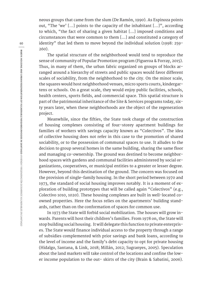neous groups that came from the slum (De Ramón, 1990). As Espinoza points out, "The 'we' [...] points to the capacity of the inhabitant [...]", according to which, "the fact of sharing a given habitat [...] imposed conditions and circumstances that were common to them [...] and constituted a category of identity" that led them to move beyond the individual solution (1998: 259- 260).

The spatial structure of the neighborhood would tend to reproduce the sense of community of Popular Promotion program (Figueroa & Forray, 2015). Thus, in many of them, the urban fabric organized on groups of blocks arranged around a hierarchy of streets and public spaces would favor different scales of sociability, from the neighborhood to the city. On the minor scale, the squares would host neighborhood venues, micro sports courts, kindergartens or schools. On a great scale, they would enjoy public facilities, schools, health centers, sports fields, and commercial space. This spatial structure is part of the patrimonial inheritance of the Site & Services programs today, sixty years later, when these neighborhoods are the object of the regeneration project.

Meanwhile, since the fifties, the State took charge of the construction of housing complexes consisting of four-storey apartment buildings for families of workers with savings capacity known as "Colectivos". The idea of collective housing does not refer in this case to the promotion of shared sociability, or to the possession of communal spaces to use. It alludes to the decision to group several homes in the same building, sharing the same floor and managing co-ownership. The ground was destined to become neighborhood spaces with gardens and communal facilities administered by social organizations, cooperatives, or municipal entities to a greater or lesser degree. However, beyond this destination of the ground. The concern was focused on the provision of single-family housing. In the short period between 1970 and 1973, the standard of social housing improves notably. It is a moment of exploration of building prototypes that will be called again "Colectivos" (e.g., Colectivo 1010, 1020). These housing complexes are built in well-located coowned properties. Here the focus relies on the apartments' building standards, rather than on the conformation of spaces for common use.

In 1973 the State will forbid social mobilization. The houses will grow inwards. Parents will host their children's families. From 1978 on, the State will stop building social housing. It will delegate this function to private enterprises. The State would finance individual access to the property through a range of subsidies complemented with prior savings and bank loans, according to the level of income and the family's debt capacity to opt for private housing (Hidalgo, Santana, & Link, 2018; Millán, 2012; Sugranyes, 2005). Speculation about the land markets will take control of the locations and confine the lower income population to the out- skirts of the city (Brain & Sabatini, 2006).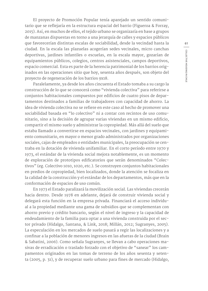El proyecto de Promoción Popular tenía aparejado un sentido comunitario que se reflejaría en la estructura espacial del barrio (Figueroa & Forray, 2015). Así, en muchos de ellos, el tejido urbano se organizaría en base a grupos de manzanas dispuestas en torno a una jerarquía de calles y espacios públicos que favorecerían distintas escalas de sociabilidad, desde la vecindad hasta la ciudad. En la escala las plazuelas acogerían sedes vecinales, micro canchas deportivas, jardines infantiles o escuelas, en la escala mayor, gozarían de equipamientos públicos, colegios, centros asistenciales, campos deportivos, espacio comercial. Esta es parte de la herencia patrimonial de los barrios originados en las operaciones sitio que hoy, sesenta años después, son objeto del proyecto de regeneración de los barrios 9x18.

Paralelamente, ya desde los años cincuenta el Estado tomaba a su cargo la construcción de lo que se conocerá como "vivienda colectiva" para referirse a conjuntos habitacionales compuestos por edificios de cuatro pisos de departamentos destinados a familias de trabajadores con capacidad de ahorro. La idea de vivienda colectiva no se refiere en este caso al hecho de promover una sociabilidad basada en "lo colectivo" ni a contar con recintos de uso comunitario, sino a la decisión de agrupar varias viviendas en un mismo edificio, compartir el mismo suelo y administrar la copropiedad. Más allá del suelo que estaba llamado a convertirse en espacios vecinales, con jardines y equipamiento comunitario, en mayor o menor grado administrados por organizaciones sociales, cajas de empleados o entidades municipales, la preocupación se centraba en la dotación de vivienda unifamiliar. En el corto período entre 1970 y 1973, el estándar de la vivienda social mejora notablemente, es un momento de exploración de prototipos edificatorios que serán denominados "Colectivos" (eg. Colectivo 1010, 1020, etc.). Se construyen conjuntos habitacionales en predios de copropiedad, bien localizados, donde la atención se focaliza en la calidad de la construcción y el estándar de los departamentos, más que en la conformación de espacios de uso común.

En 1973 el Estado paralizará la movilización social. Las viviendas crecerán hacia dentro. Desde 1978 en adelante, dejará de construir vivienda social y delegará esta función en la empresa privada. Financiará el acceso individual a la propiedad mediante una gama de subsidios que se complementan con ahorro previo y crédito bancario, según el nivel de ingreso y la capacidad de endeudamiento de la familia para optar a una vivienda construida por el sector privado (Hidalgo, Santana, & Link, 2018; Millán, 2012; Sugranyes, 2005). La especulación en los mercados de suelo pasará a regir las localizaciones y a confinar a la población de menores ingresos en las afueras de la ciudad (Brain & Sabatini, 2006). Como señala Sugranyes, se llevan a cabo operaciones masivas de erradicación o traslado forzado con el objetivo de "sanear" los campamentos originados en las tomas de terreno de los años sesenta y setenta (2005, p. 31), y de recuperar suelo urbano para fines de mercado (Hidalgo,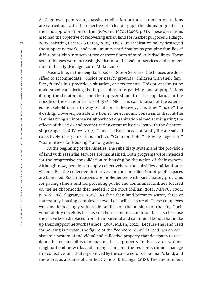As Sugranyes points out, massive eradication or forced transfer operations are carried out with the objective of "cleaning up" the slums originated in the land appropriations of the 1960s and 1970s (2005, p.31). These operations also had the objective of recovering urban land for market purposes (Hidalgo, 2007; Sabatini, Cáceres & Cerdá, 2001). The slum eradication policy destroyed the support networks and com- munity participation by grouping families of different origins into sets of two or three floors of miniscule dwellings. These sets of houses were increasingly distant and devoid of services and connection to the city (Hidalgo, 2010, Millán 2012)

Meanwhile, in the neighborhoods of Site & Services, the houses are densified to accommodate - inside or nearby grounds- children with their families, friends in a precarious situation, or new tenants. This process must be understood considering the impossibility of organizing land appropriations during the dictatorship, and the impoverishment of the population in the middle of the economic crisis of 1983-1986. This cohabitation of the extended-household is a fifth way to inhabit collectively, this time "inside" the dwelling. However, outside the home, the economic constraints that hit the families bring an intense neighborhood organization aimed at mitigating the effects of the crisis and reconstituting community ties lost with the dictatorship (Angelcos & Pérez, 2017). Thus, the basic needs of family life are solved collectively in organizations such as "Common Pots," "Buying Together," "Committees for Housing," among others.

At the beginning of the nineties, the subsidiary system and the provision of land with essential services are maintained. Both programs were intended for the progressive consolidation of housing by the action of their owners. Although now, people can apply collectively to the subsidies and land provisions. For the collective, initiatives for the consolidation of public spaces are launched. Such initiatives are implemented with participatory programs for paving streets and for providing public and communal facilities focused on the neighborhoods that needed it the most (Millán, 2012; MINVU, 2004, p. 266- 268, Sugranyes, 2005). As the urban land becomes scarce, three or four-storey housing complexes devoid of facilities spread. These complexes welcome increasingly vulnerable families on the outskirts of the city. Their vulnerability develops because of their economic condition but also because they have been displaced from their parental and communal bonds that make up their support networks (Araos, 2005; Millán, 2012). Because the land used for housing is private, the figure of the "condominium" is used, which consists of a system of individual and collective property that delegates to residents the responsibility of managing the co-property. In these cases, without neighborhood networks and among strangers, the residents cannot manage this collective land that is perceived by the co-owners as a no-man's land, and therefore, as a source of conflict (Donoso & Elsinga, 2018). The environment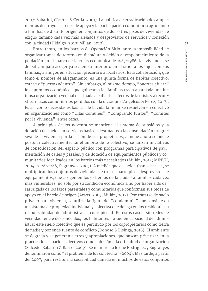2007; Sabatini, Cáceres & Cerdá, 2001). La política de erradicación de campamentos destruyó las redes de apoyo y la participación comunitaria agrupando a familias de distinto origen en conjuntos de dos o tres pisos de viviendas de exiguo tamaño cada vez más alejados y desprovistos de servicios y conexión con la ciudad (Hidalgo, 2010; Millán, 2012)

Entre tanto, en los barrios de Operación Sitio, ante la imposibilidad de organizar tomas de terreno en dictadura y debido al empobrecimiento de la población en el marco de la crisis económica de 1983-1986, las viviendas se densifican para acoger ya sea en su interior o en el sitio, a los hijos con sus familias, a amigos en situación precaria o a locatarios. Esta cohabitación, que tomó el nombre de allegamiento, es una quinta forma de habitar colectivo, esta vez "puertas adentro". Sin embargo, al mismo tiempo, "puertas afuera" los apremios económicos que golpean a las familias traen aparejada una intensa organización vecinal destinada a paliar los efectos de la crisis y a reconstituir lazos comunitarios perdidos con la dictadura (Angelcos & Pérez, 2017). Es así como necesidades básicas de la vida familiar se resuelven en colectivo en organizaciones como "Ollas Comunes", "Comprando Juntos", "Comités por la Vivienda", entre otras.

A principios de los noventa se mantiene el sistema de subsidios y la dotación de suelo con servicios básicos destinados a la consolidación progresiva de la vivienda por la acción de sus propietarios, aunque ahora se puede postular colectivamente. En el ámbito de lo colectivo, se lanzan iniciativas de consolidación del espacio público con programas participativos de pavimentación de calles y pasajes, y de dotación de equipamientos públicos y comunitarios focalizados en los barrios más necesitados (Millán, 2012; MINVU, 2004, p. 266-268, Sugranyes, 2005). A medida que el suelo urbano escasea, se multiplican los conjuntos de viviendas de tres o cuatro pisos desprovistos de equipamientos, que acogen en los extremos de la ciudad a familias cada vez más vulnerables, no sólo por su condición económica sino por haber sido desarraigada de los lazos parentales y comunitarios que conforman sus redes de apoyo en el barrio de origen (Araos, 2005; Millán, 2012). Por tratarse de suelo privado para vivienda, se utiliza la figura del "condominio" que consiste en un sistema de propiedad individual y colectiva que delega en los residentes la responsabilidad de administrar la copropiedad. En estos casos, sin redes de vecindad, entre desconocidos, los habitantes no tienen capacidad de administrar este suelo colectivo que es percibido por los copropietarios como tierra de nadie y por ende fuente de conflicto (Donoso & Elsinga, 2018). El ambiente se degrada y se generan cierres y apropiaciones, que buscan privatizar en la práctica los espacios colectivos como solución a la dificultad de organización (Salcedo, Sabatini & Rasse, 2009). Se manifiesta lo que Rodríguez y Sugranyes denominaron como "el problema de los con techo" (2004). Más tarde, a partir del 2007, para restituir la sociabilidad dañada en muchos de estos conjuntos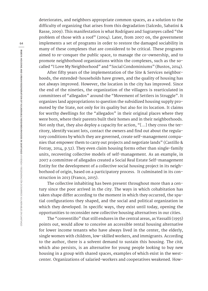deteriorates, and neighbors appropriate common spaces, as a solution to the difficulty of organizing that arises from this degradation (Salcedo, Sabatini & Rasse, 2009). This manifestation is what Rodríguez and Sugranyes called "the problem of those with a roof" (2004). Later, from 2007 on, the government implements a set of programs in order to restore the damaged sociability in many of these complexes that are considered to be critical. These programs aimed to re-conquer the public space, to manage the co-ownership, and to promote neighborhood organizations within the complexes, such as the socalled "I Love My Neighborhood" and "Social Condominiums" (Bustos, 2014).

After fifty years of the implementation of the Site & Services neighborhoods, the extended-households have grown, and the quality of housing has not always improved. However, the location in the city has improved. Since the end of the nineties, the organization of the villagers is rearticulated in committees of "allegados" around the "Movement of Settlers in Struggle". It organizes land appropriations to question the subsidized housing supply promoted by the State, not only for its quality but also for its location. It claims for worthy dwellings for the "allegados" in their original places where they were born, where their parents built their homes and in their neighborhoods. Not only that, they also deploy a capacity for action, "[...] they cross the territory, identify vacant lots, contact the owners and find out about the regulatory conditions by which they are governed, create self-management companies that empower them to carry out projects and negotiate lands" (Castillo & Forray, 2014, p.52). They even claim housing forms other than single-family units, recovering collective models of self-management. As an example, in 2007 a committee of allegados created a Social Real Estate Self-management Entity for the development of a collective social housing project in its neighborhood of origin, based on a participatory process. It culminated in its construction in 2013 (Franco, 2015).

The collective inhabiting has been present throughout more than a century since the poor arrived in the city. The ways in which cohabitation has taken shape differ according to the moment in which they occurred, the spatial configurations they shaped, and the social and political organization in which they developed. In specific ways, they exist until today, opening the opportunities to reconsider new collective housing alternatives in our cities.

The "conventillo" that still endures in the central areas, as Vassalli (1993) points out, would allow to conceive an accessible rental housing alternative for lower income tenants who have always lived in the center, the elderly, single women with children, low-skilled workers, and immigrants. According to the author, there is a solvent demand to sustain this housing. The cité, which also persists, is an alternative for young people looking to buy new housing in a group with shared spaces, examples of which exist in the westcenter. Organizations of salaried-workers and cooperatives weakened. How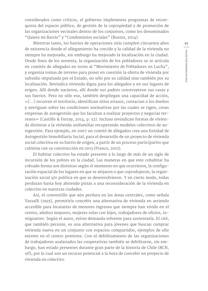considerados como críticos, el gobierno implementa programas de reconquista del espacio público, de gestión de la copropiedad y de promoción de las organizaciones vecinales dentro de los conjuntos, como los denominados "Quiero mi Barrio" y "Condominios sociales" (Bustos, 2014).

Mientras tanto, los barrios de operaciones sitio cumplen cincuenta años de existencia donde el allegamiento ha crecido y la calidad de la vivienda no siempre ha mejorado, sin embargo ha mejorado la localización en la ciudad. Desde fines de los noventa, la organización de los pobladores se re articula en comités de allegados en torno al "Movimiento de Pobladores en Lucha", y organiza tomas de terreno para poner en cuestión la oferta de vivienda por subsidio impulsada por el Estado, no sólo por su calidad sino también por su localización. Revindica vivienda digna para los allegados y en sus lugares de origen. Allí donde nacieron, allí donde sus padres construyeron sus casas y sus barrios. Pero no sólo eso, también despliegan una capacidad de acción, «[…] recorren el territorio, identifican sitios eriazos, contactan a los dueños y averiguan sobre las condiciones normativas por las cuales se rigen, crean empresas de autogestión que los facultan a realizar proyectos y negociar terrenos» (Castillo & Forray, 2014, p. 52). Incluso revindican formas de vivienda distintas a la vivienda unifamiliar recuperando modelos colectivos de autogestión. Para ejemplo, en 2007 un comité de allegados crea una Entidad de Autogestión Inmobiliaria Social, para el desarrollo de un proyecto de vivienda social colectiva en su barrio de origen, a partir de un proceso participativo que culmina con su construcción en 2013 (Franco, 2015).

El habitar colectivo ha estado presente a lo largo de más de un siglo de incursión de los pobres en la ciudad. Las maneras en que este cohabitar ha cobrado forma son distintas según el momento en que ocurrieron, la configuración espacial de los lugares en que se alojaron o que coprodujeron, la organización social y/o política en que se desenvolvieron. Y en cierto modo, todas perduran hasta hoy abriendo pistas a una reconsideración de la vivienda en colectivo en nuestras ciudades.

Así, el conventillo que aún perdura en las áreas centrales, como señala Vassalli (1993), permitiría concebir una alternativa de vivienda en arriendo accesible para locatarios de menores ingresos que siempre han vivido en el centro, adultos mayores, mujeres solas con hijos, trabajadores de oficios, inmigrantes. Según el autor, existe demanda solvente para sustentarla. El cité, que también persiste, es una alternativa para jóvenes que buscan comprar vivienda nueva en un conjunto con espacios compartidos, ejemplos de ello existen en el centro poniente. Con el debilitamiento de las organizaciones de trabajadores asalariados las cooperativas también se debilitaron, sin embargo, han estado presentes durante gran parte de la historia de Chile (BCN, s/f), por lo cual son un recurso potencial a la hora de concebir un proyecto de vivienda en colectivo.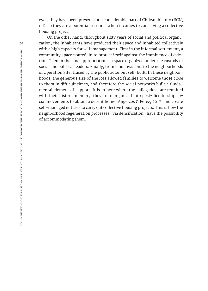ever, they have been present for a considerable part of Chilean history (BCN, nd), so they are a potential resource when it comes to conceiving a collective housing project.

On the other hand, throughout sixty years of social and political organization, the inhabitants have produced their space and inhabited collectively with a high capacity for self-management. First in the informal settlement, a community space poured-in to protect itself against the imminence of eviction. Then in the land appropriations, a space organized under the custody of social and political leaders. Finally, from land invasions to the neighborhoods of Operation Site, traced by the public actor but self-built. In these neighborhoods, the generous size of the lots allowed families to welcome those close to them in difficult times, and therefore the social networks built a fundamental element of support. It is in here where the "allegados" are reunited with their historic memory, they are reorganized into post-dictatorship social movements to obtain a decent home (Angelcos & Pérez, 2017) and create self-managed entities to carry out collective housing projects. This is how the neighborhood regeneration processes -via densification- have the possibility of accommodating them.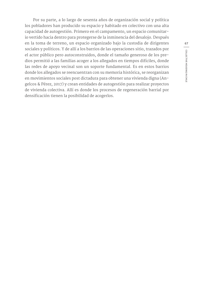Por su parte, a lo largo de sesenta años de organización social y política los pobladores han producido su espacio y habitado en colectivo con una alta capacidad de autogestión. Primero en el campamento, un espacio comunitario vertido hacia dentro para protegerse de la inminencia del desalojo. Después en la toma de terreno, un espacio organizado bajo la custodia de dirigentes sociales y políticos. Y de allí a los barrios de las operaciones sitio, trazados por el actor público pero autoconstruidos, donde el tamaño generoso de los predios permitió a las familias acoger a los allegados en tiempos difíciles, donde las redes de apoyo vecinal son un soporte fundamental. Es en estos barrios donde los allegados se reencuentran con su memoria histórica, se reorganizan en movimientos sociales post dictadura para obtener una vivienda digna (Angelcos & Pérez, 2017) y crean entidades de autogestión para realizar proyectos de vivienda colectiva. Allí es donde los procesos de regeneración barrial por densificación tienen la posibilidad de acogerlos.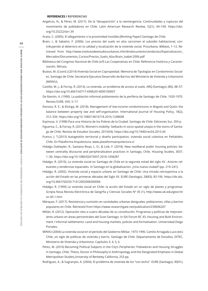#### **REFERENCES / REFERENCIAS**

Angelcos, N., & Pérez, M. (2017). De la "desaparición" a la reemergencia: Continuidades y rupturas del movimiento de pobladores en Chile. Latin American Research Review, 52(1), 94–109. https://doi. org/10.25222/larr.39

Araos, C. (2005). El allegamiento o la proximidad invisible.[Working Paper] Santiago de Chile.

- Brain, I., & Sabatini, F. (2006). Los precios del suelo en alza carcomen el subsidio habitacional, contribuyendo al deterioro en la calidad y localización de la vivienda social. Prourbana, 4(Maio), 1–12. Retrieved from http://www.institutodeestudiosurbanos.info/dmdocuments/cendocieu/Especializacion\_ Mercados/Documentos\_Cursos/Precios\_Suelo\_Alza-Brain\_Isabel-2006.pdf
- Biblioteca del Congreso Nacional de Chile (s/f) Las Cooperativas en Chile: Referencia histórica y Caracterización. Minuta.
- Bustos, M. (Coord.) (2014) Vivienda Social en Copropiedad. Memoria de Tipologías en Condominios Sociales. Santiago de Chile: Secretaría Ejecutiva Desarrollo de Barrios del Ministerio de Vivienda y Urbanismo (MINVU).
- Castillo, M. J., & Forray, R. (2014). La vivienda, un problema de acceso al suelo. ARQ (Santiago), (86), 48–57. https://doi.org/10.4067/s0717-69962014000100007
- De Ramón, A. (1990). La población informal poblamiento de la periferia de Santiago de Chile. 1920-1970. Revista EURE, XVII, 5–17.
- Donoso, R. E., & Elsinga, M. (2018). Management of low-income condominiums in Bogotá and Quito: the balance between property law and self-organisation. International Journal of Housing Policy, 18(2), 312–334. https://doi.org/10.1080/14616718.2016.1248608

Espinoza, V. (1998) Para una Historia de los Pobres de la Ciudad. Santiago de Chile: Ediciones Sur, 359 p.

- Figueroa, C., & Forray, R. (2015). Women's mobility: Setbacks in socio-spatial utopia in the slums of Santiago de Chile. Revista de Estudios Sociales, 2015(54). https://doi.org/10.7440/res54.2015.04
- Franco, J. T.(2015) Autogestión territorial y diseño participativo: vivienda social colectiva en Peñalolén, Chile. En Plataforma Arquitectura, www.plataformaarquitectura.cl
- Hidalgo Dattwyler, R., Santana Rivas, L. D., & Link, F. (2018). New neoliberal public housing policies: between centrality discourse and peripheralization practices in Santiago, Chile. Housing Studies, 3037, 1–30. https://doi.org/10.1080/02673037.2018.1458287
- Hidalgo, R. (2010). La vivienda social en Santiago de Chile en la segunda mitad del siglo XX : Actores relevantes y tendencias espaciales. In Santiago en la globalizacion: ¿Una nueva ciudad? (pp. 219–241).
- Hidalgo, R. (2002). Vivienda social y espacio urbano en Santiago de Chile: Una mirada retrospectiva a la acción del Estado en las primeras décadas del Siglo XX. EURE (Santiago), 28(83), 83-106. https://dx.doi. org/10.4067/S0250-71612002008300006
- Hidalgo, R. (1999) La vivienda social en Chile: la acción del Estado en un siglo de planes y programas. Scripta Nova Revista Electrónica de Geogrfía y Ciencias Sociales Nº 45 (1), http://www.ub.edu/geocrit/ sn-45-1.htm
- Márquez, F. (2017). Resistencia y sumisión en sociedades urbanas desiguales: poblaciones, villas y barrios populares en Chile. Retrieved from https://www.researchgate.net/publication/239606207
- Millán, R. (2012). Operación sitio a cuatro décadas de su constitución. Programas y políticas de mejoramiento urbano en áreas pericentrales del Gran Santiago. In ISA Forum RC 43. Housing and Built Environment / Informal settlements: Land and housing markets, policies and formalisation. Universidad Diego Portales.
- MINVU (2004) La vivienda social en el período del Gobierno Militar, 1973-1990. Camilo Arriagada Luco (ed.) Chile, un siglo de políticas de vivienda y barrio. Santiago de Chile: Departamento de Estudios, DITEC, Ministerio de Vivienda y Urbanismo. Capítulos 3, 4, 5, 6.
- Pérez, M. (2016) Becoming Political Subjects in the City's Peripheries: Pobladores and Housing Struggles in Santiago, Chile. Thesis, Doctor in Philosophy in Anthropology and the Designated Emphasis in Global Metropolitan Studies,University of Berkeley California, 253 pp.
- Rodríguez, A., & Sugranyes, A. (2004). El problema de vivienda de los "con techo". EURE (Santiago), 30(91),

**68**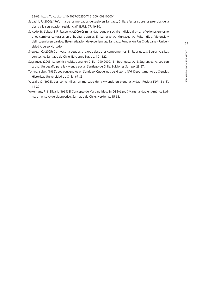53-65. https://dx.doi.org/10.4067/S0250-71612004009100004

- Sabatini, F. (2000). "Reforma de los mercados de suelo en Santiago, Chile: efectos sobre los pre- cios de la tierra y la segregación residencial". EURE, 77, 49-80.
- Salcedo, R., Sabatini, F., Rasse, A. (2009) Criminalidad, control social e individualismo: reflexiones en torno a los cambios culturales en el habitar popular. En Lunecke, A.; Munizaga, A.; Ruiz, J. (Eds.) Violencia y delincuencia en barrios: Sistematización de experiencias. Santiago: Fundación Paz Ciudadana – Universidad Alberto Hurtado
- Skewes, J.C. (2005) De invasor a deudor: el éxodo desde los campamentos. En Rodríguez & Sugranyez, Los con techo. Santiago de Chile: Ediciones Sur, pp. 101-122.
- Sugranyez (2005) La política habitacional en Chile 1990-2000. En Rodríguez, A., & Sugranyes, A. Los con techo. Un desafío para la vivienda social. Santiago de Chile: Ediciones Sur, pp. 23-57.
- Torres, Isabel. (1986). Los conventilos en Santiago, Cuadernos de Historia Nº6, Departamento de Ciencias Históricas Universidad de Chile, 67-85.
- Vassalli, C. (1993). Los conventillos: un mercado de la vivienda en plena actividad. Revista INVI, 8 (18), 14-20
- Vekemans, R. & Silva, I. (1969) El Concepto de Marginalidad. En DESAL (ed.) Marginalidad en América Latina: un ensayo de diagnóstico, Santiado de Chile: Herder, p. 15-63.